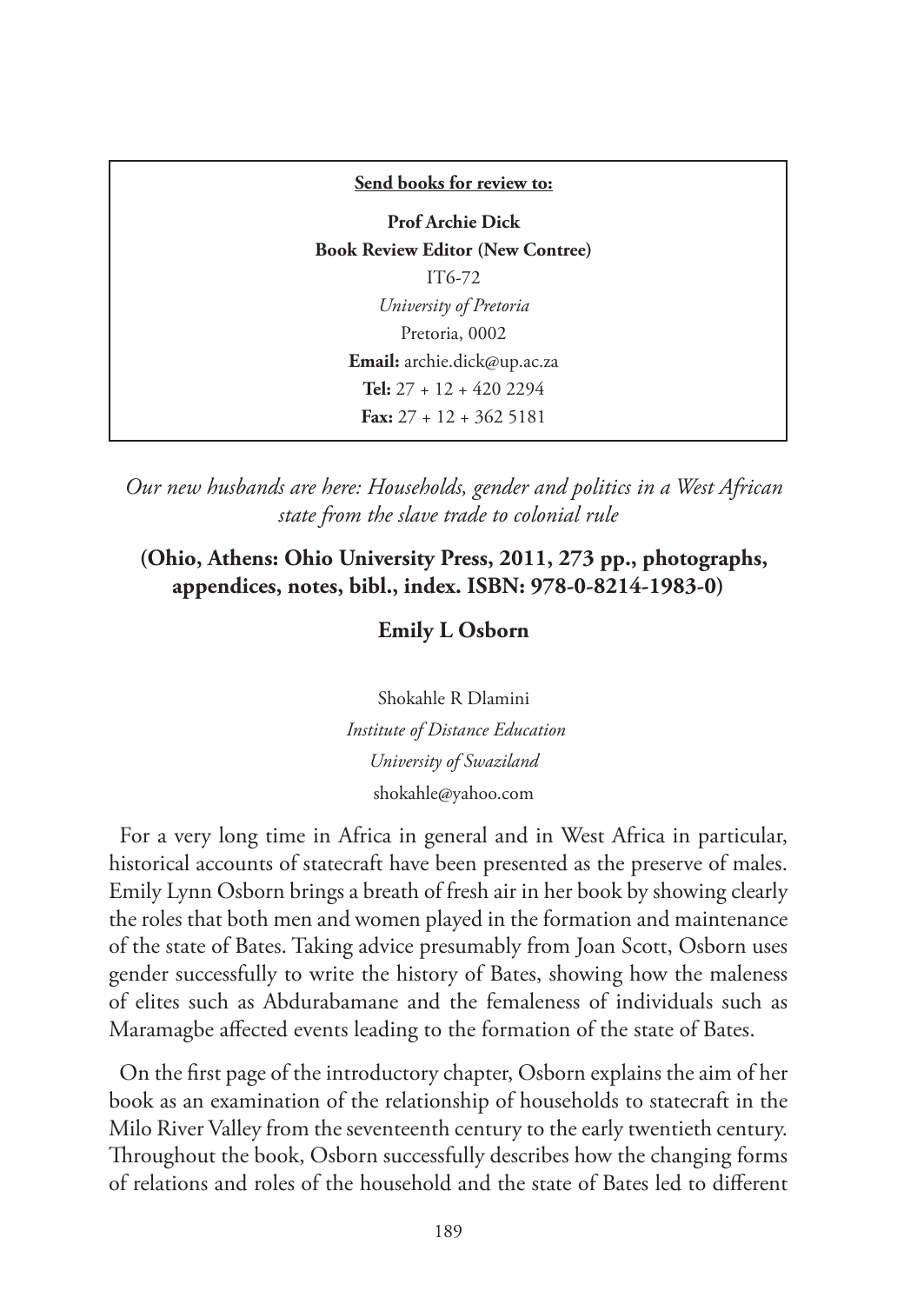# **Send books for review to: Prof Archie Dick Book Review Editor (New Contree)** IT6-72 *University of Pretoria* Pretoria, 0002 **Email:** archie.dick@up.ac.za **Tel:** 27 + 12 + 420 2294 **Fax:** 27 + 12 + 362 5181

*Our new husbands are here: Households, gender and politics in a West African state from the slave trade to colonial rule*

## **(Ohio, Athens: Ohio University Press, 2011, 273 pp., photographs, appendices, notes, bibl., index. ISBN: 978-0-8214-1983-0)**

# **Emily L Osborn**

Shokahle R Dlamini  *Institute of Distance Education University of Swaziland* shokahle@yahoo.com

For a very long time in Africa in general and in West Africa in particular, historical accounts of statecraft have been presented as the preserve of males. Emily Lynn Osborn brings a breath of fresh air in her book by showing clearly the roles that both men and women played in the formation and maintenance of the state of Bates. Taking advice presumably from Joan Scott, Osborn uses gender successfully to write the history of Bates, showing how the maleness of elites such as Abdurabamane and the femaleness of individuals such as Maramagbe affected events leading to the formation of the state of Bates.

On the first page of the introductory chapter, Osborn explains the aim of her book as an examination of the relationship of households to statecraft in the Milo River Valley from the seventeenth century to the early twentieth century. Throughout the book, Osborn successfully describes how the changing forms of relations and roles of the household and the state of Bates led to different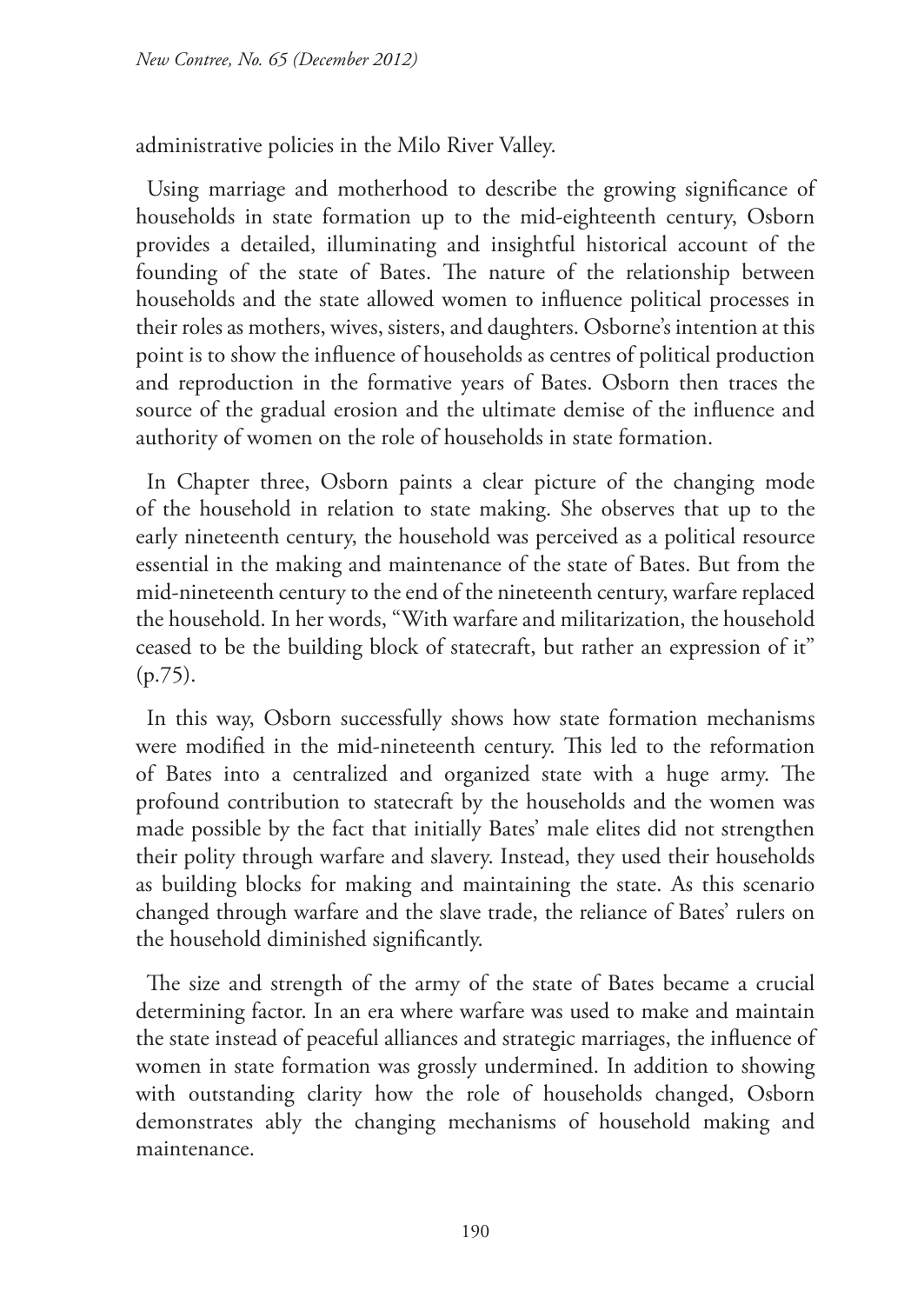administrative policies in the Milo River Valley.

Using marriage and motherhood to describe the growing significance of households in state formation up to the mid-eighteenth century, Osborn provides a detailed, illuminating and insightful historical account of the founding of the state of Bates. The nature of the relationship between households and the state allowed women to influence political processes in their roles as mothers, wives, sisters, and daughters. Osborne's intention at this point is to show the influence of households as centres of political production and reproduction in the formative years of Bates. Osborn then traces the source of the gradual erosion and the ultimate demise of the influence and authority of women on the role of households in state formation.

In Chapter three, Osborn paints a clear picture of the changing mode of the household in relation to state making. She observes that up to the early nineteenth century, the household was perceived as a political resource essential in the making and maintenance of the state of Bates. But from the mid-nineteenth century to the end of the nineteenth century, warfare replaced the household. In her words, "With warfare and militarization, the household ceased to be the building block of statecraft, but rather an expression of it" (p.75).

In this way, Osborn successfully shows how state formation mechanisms were modified in the mid-nineteenth century. This led to the reformation of Bates into a centralized and organized state with a huge army. The profound contribution to statecraft by the households and the women was made possible by the fact that initially Bates' male elites did not strengthen their polity through warfare and slavery. Instead, they used their households as building blocks for making and maintaining the state. As this scenario changed through warfare and the slave trade, the reliance of Bates' rulers on the household diminished significantly.

The size and strength of the army of the state of Bates became a crucial determining factor. In an era where warfare was used to make and maintain the state instead of peaceful alliances and strategic marriages, the influence of women in state formation was grossly undermined. In addition to showing with outstanding clarity how the role of households changed, Osborn demonstrates ably the changing mechanisms of household making and maintenance.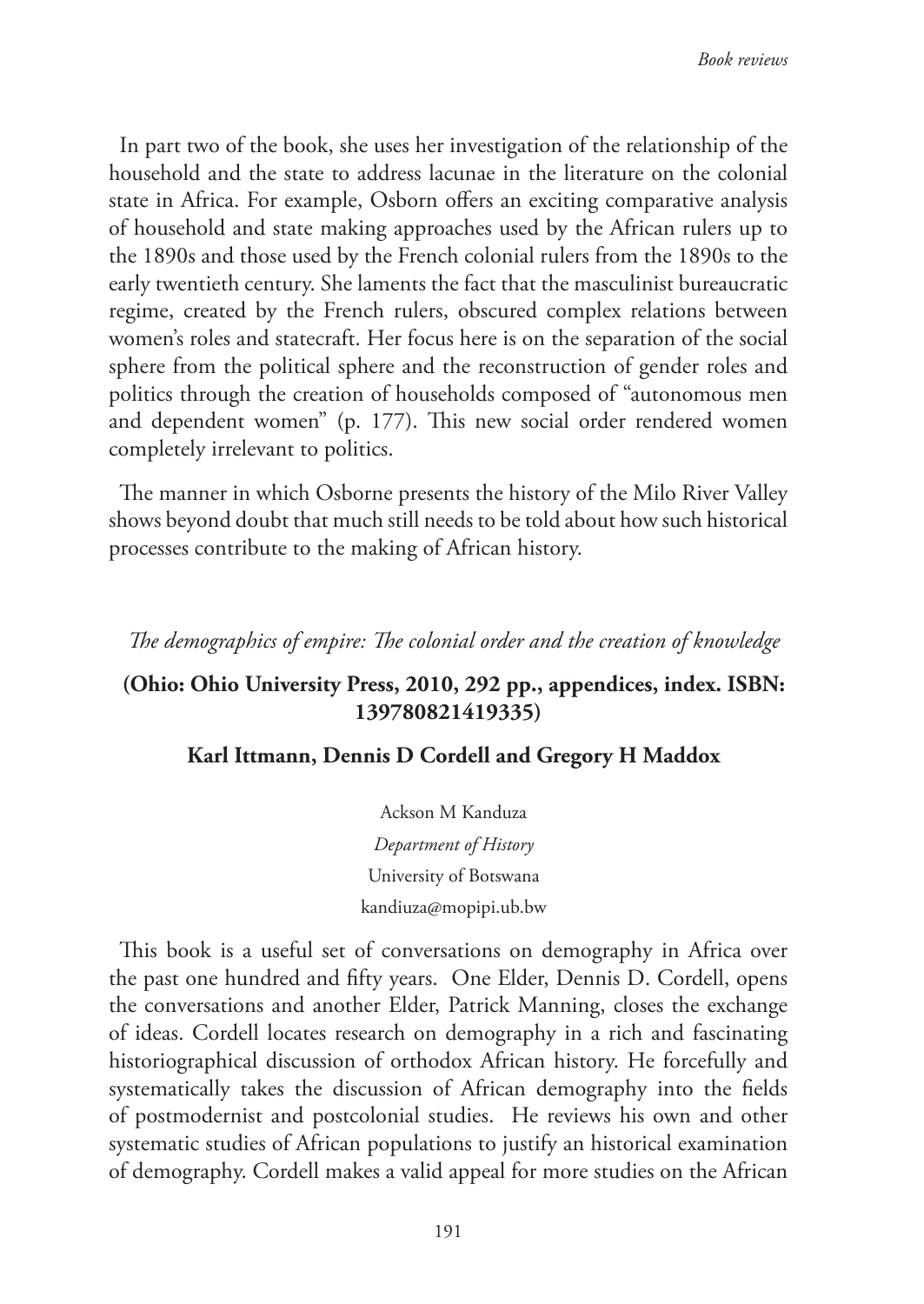In part two of the book, she uses her investigation of the relationship of the household and the state to address lacunae in the literature on the colonial state in Africa. For example, Osborn offers an exciting comparative analysis of household and state making approaches used by the African rulers up to the 1890s and those used by the French colonial rulers from the 1890s to the early twentieth century. She laments the fact that the masculinist bureaucratic regime, created by the French rulers, obscured complex relations between women's roles and statecraft. Her focus here is on the separation of the social sphere from the political sphere and the reconstruction of gender roles and politics through the creation of households composed of "autonomous men and dependent women" (p. 177). This new social order rendered women completely irrelevant to politics.

The manner in which Osborne presents the history of the Milo River Valley shows beyond doubt that much still needs to be told about how such historical processes contribute to the making of African history.

#### *The demographics of empire: The colonial order and the creation of knowledge*

## **(Ohio: Ohio University Press, 2010, 292 pp., appendices, index. ISBN: 139780821419335)**

### **Karl Ittmann, Dennis D Cordell and Gregory H Maddox**

Ackson M Kanduza *Department of History* University of Botswana kandiuza@mopipi.ub.bw

This book is a useful set of conversations on demography in Africa over the past one hundred and fifty years. One Elder, Dennis D. Cordell, opens the conversations and another Elder, Patrick Manning, closes the exchange of ideas. Cordell locates research on demography in a rich and fascinating historiographical discussion of orthodox African history. He forcefully and systematically takes the discussion of African demography into the fields of postmodernist and postcolonial studies. He reviews his own and other systematic studies of African populations to justify an historical examination of demography. Cordell makes a valid appeal for more studies on the African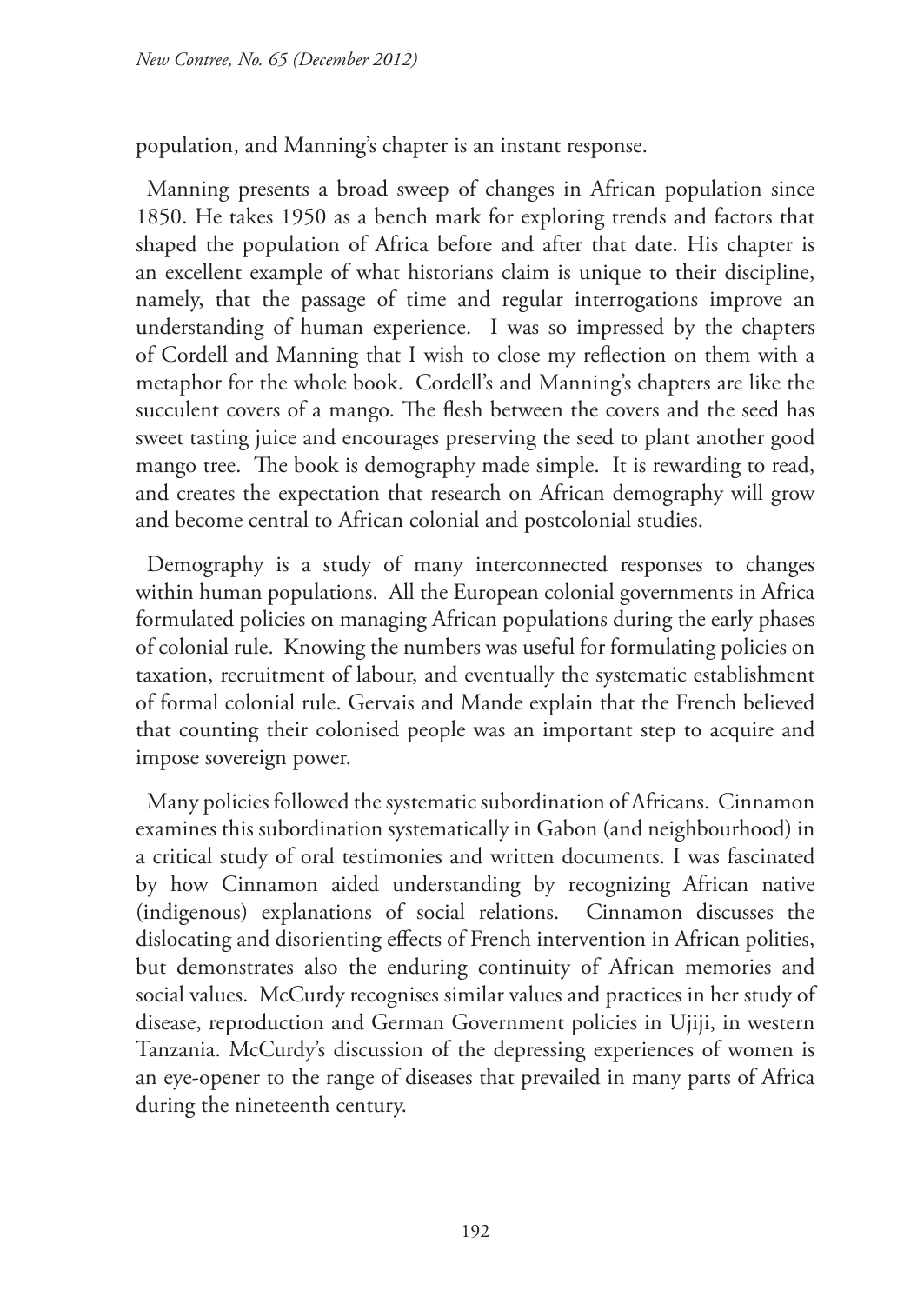population, and Manning's chapter is an instant response.

Manning presents a broad sweep of changes in African population since 1850. He takes 1950 as a bench mark for exploring trends and factors that shaped the population of Africa before and after that date. His chapter is an excellent example of what historians claim is unique to their discipline, namely, that the passage of time and regular interrogations improve an understanding of human experience. I was so impressed by the chapters of Cordell and Manning that I wish to close my reflection on them with a metaphor for the whole book. Cordell's and Manning's chapters are like the succulent covers of a mango. The flesh between the covers and the seed has sweet tasting juice and encourages preserving the seed to plant another good mango tree. The book is demography made simple. It is rewarding to read, and creates the expectation that research on African demography will grow and become central to African colonial and postcolonial studies.

Demography is a study of many interconnected responses to changes within human populations. All the European colonial governments in Africa formulated policies on managing African populations during the early phases of colonial rule. Knowing the numbers was useful for formulating policies on taxation, recruitment of labour, and eventually the systematic establishment of formal colonial rule. Gervais and Mande explain that the French believed that counting their colonised people was an important step to acquire and impose sovereign power.

Many policies followed the systematic subordination of Africans. Cinnamon examines this subordination systematically in Gabon (and neighbourhood) in a critical study of oral testimonies and written documents. I was fascinated by how Cinnamon aided understanding by recognizing African native (indigenous) explanations of social relations. Cinnamon discusses the dislocating and disorienting effects of French intervention in African polities, but demonstrates also the enduring continuity of African memories and social values. McCurdy recognises similar values and practices in her study of disease, reproduction and German Government policies in Ujiji, in western Tanzania. McCurdy's discussion of the depressing experiences of women is an eye-opener to the range of diseases that prevailed in many parts of Africa during the nineteenth century.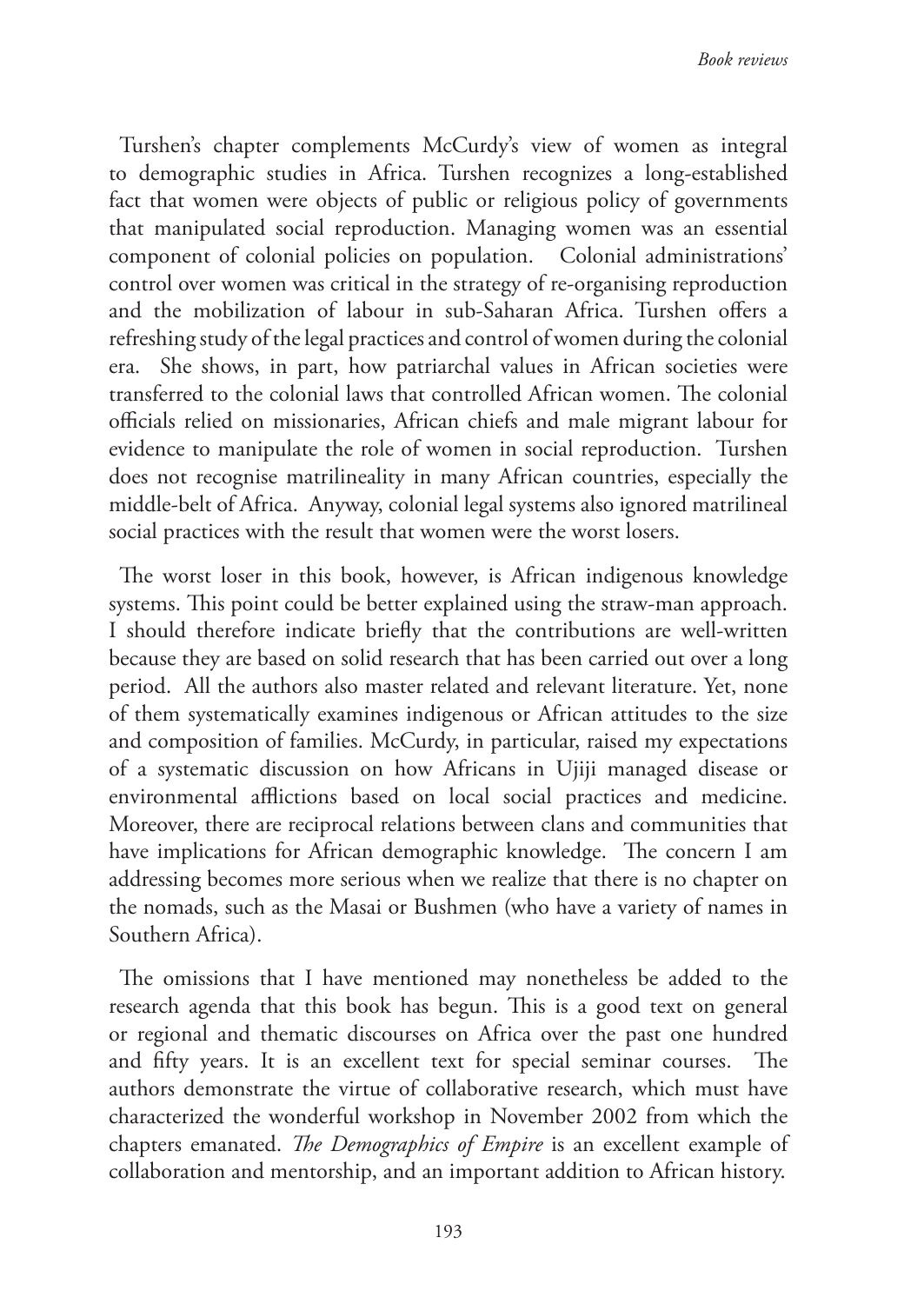Turshen's chapter complements McCurdy's view of women as integral to demographic studies in Africa. Turshen recognizes a long-established fact that women were objects of public or religious policy of governments that manipulated social reproduction. Managing women was an essential component of colonial policies on population. Colonial administrations' control over women was critical in the strategy of re-organising reproduction and the mobilization of labour in sub-Saharan Africa. Turshen offers a refreshing study of the legal practices and control of women during the colonial era. She shows, in part, how patriarchal values in African societies were transferred to the colonial laws that controlled African women. The colonial officials relied on missionaries, African chiefs and male migrant labour for evidence to manipulate the role of women in social reproduction. Turshen does not recognise matrilineality in many African countries, especially the middle-belt of Africa. Anyway, colonial legal systems also ignored matrilineal social practices with the result that women were the worst losers.

The worst loser in this book, however, is African indigenous knowledge systems. This point could be better explained using the straw-man approach. I should therefore indicate briefly that the contributions are well-written because they are based on solid research that has been carried out over a long period. All the authors also master related and relevant literature. Yet, none of them systematically examines indigenous or African attitudes to the size and composition of families. McCurdy, in particular, raised my expectations of a systematic discussion on how Africans in Ujiji managed disease or environmental afflictions based on local social practices and medicine. Moreover, there are reciprocal relations between clans and communities that have implications for African demographic knowledge. The concern I am addressing becomes more serious when we realize that there is no chapter on the nomads, such as the Masai or Bushmen (who have a variety of names in Southern Africa).

The omissions that I have mentioned may nonetheless be added to the research agenda that this book has begun. This is a good text on general or regional and thematic discourses on Africa over the past one hundred and fifty years. It is an excellent text for special seminar courses. The authors demonstrate the virtue of collaborative research, which must have characterized the wonderful workshop in November 2002 from which the chapters emanated. *The Demographics of Empire* is an excellent example of collaboration and mentorship, and an important addition to African history.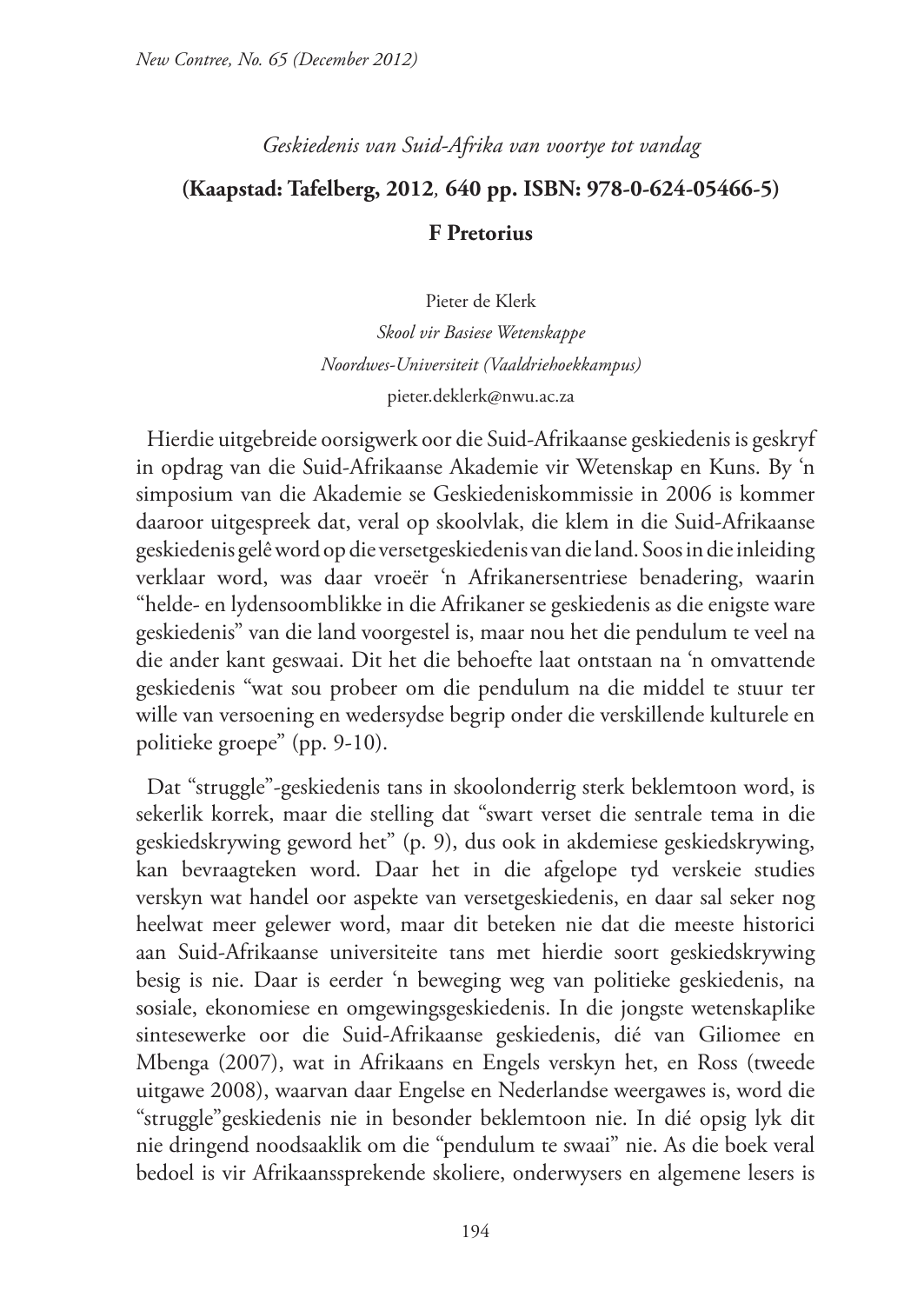*Geskiedenis van Suid-Afrika van voortye tot vandag*

# **(Kaapstad: Tafelberg, 2012***,* **640 pp. ISBN: 978-0-624-05466-5) F Pretorius**

Pieter de Klerk

*Skool vir Basiese Wetenskappe Noordwes-Universiteit (Vaaldriehoekkampus)* pieter.deklerk@nwu.ac.za

Hierdie uitgebreide oorsigwerk oor die Suid-Afrikaanse geskiedenis is geskryf in opdrag van die Suid-Afrikaanse Akademie vir Wetenskap en Kuns. By 'n simposium van die Akademie se Geskiedeniskommissie in 2006 is kommer daaroor uitgespreek dat, veral op skoolvlak, die klem in die Suid-Afrikaanse geskiedenis gelê word op die versetgeskiedenis van die land. Soos in die inleiding verklaar word, was daar vroeër 'n Afrikanersentriese benadering, waarin "helde- en lydensoomblikke in die Afrikaner se geskiedenis as die enigste ware geskiedenis" van die land voorgestel is, maar nou het die pendulum te veel na die ander kant geswaai. Dit het die behoefte laat ontstaan na 'n omvattende geskiedenis "wat sou probeer om die pendulum na die middel te stuur ter wille van versoening en wedersydse begrip onder die verskillende kulturele en politieke groepe" (pp. 9-10).

Dat "struggle"-geskiedenis tans in skoolonderrig sterk beklemtoon word, is sekerlik korrek, maar die stelling dat "swart verset die sentrale tema in die geskiedskrywing geword het" (p. 9), dus ook in akdemiese geskiedskrywing, kan bevraagteken word. Daar het in die afgelope tyd verskeie studies verskyn wat handel oor aspekte van versetgeskiedenis, en daar sal seker nog heelwat meer gelewer word, maar dit beteken nie dat die meeste historici aan Suid-Afrikaanse universiteite tans met hierdie soort geskiedskrywing besig is nie. Daar is eerder 'n beweging weg van politieke geskiedenis, na sosiale, ekonomiese en omgewingsgeskiedenis. In die jongste wetenskaplike sintesewerke oor die Suid-Afrikaanse geskiedenis, dié van Giliomee en Mbenga (2007), wat in Afrikaans en Engels verskyn het, en Ross (tweede uitgawe 2008), waarvan daar Engelse en Nederlandse weergawes is, word die "struggle"geskiedenis nie in besonder beklemtoon nie. In dié opsig lyk dit nie dringend noodsaaklik om die "pendulum te swaai" nie. As die boek veral bedoel is vir Afrikaanssprekende skoliere, onderwysers en algemene lesers is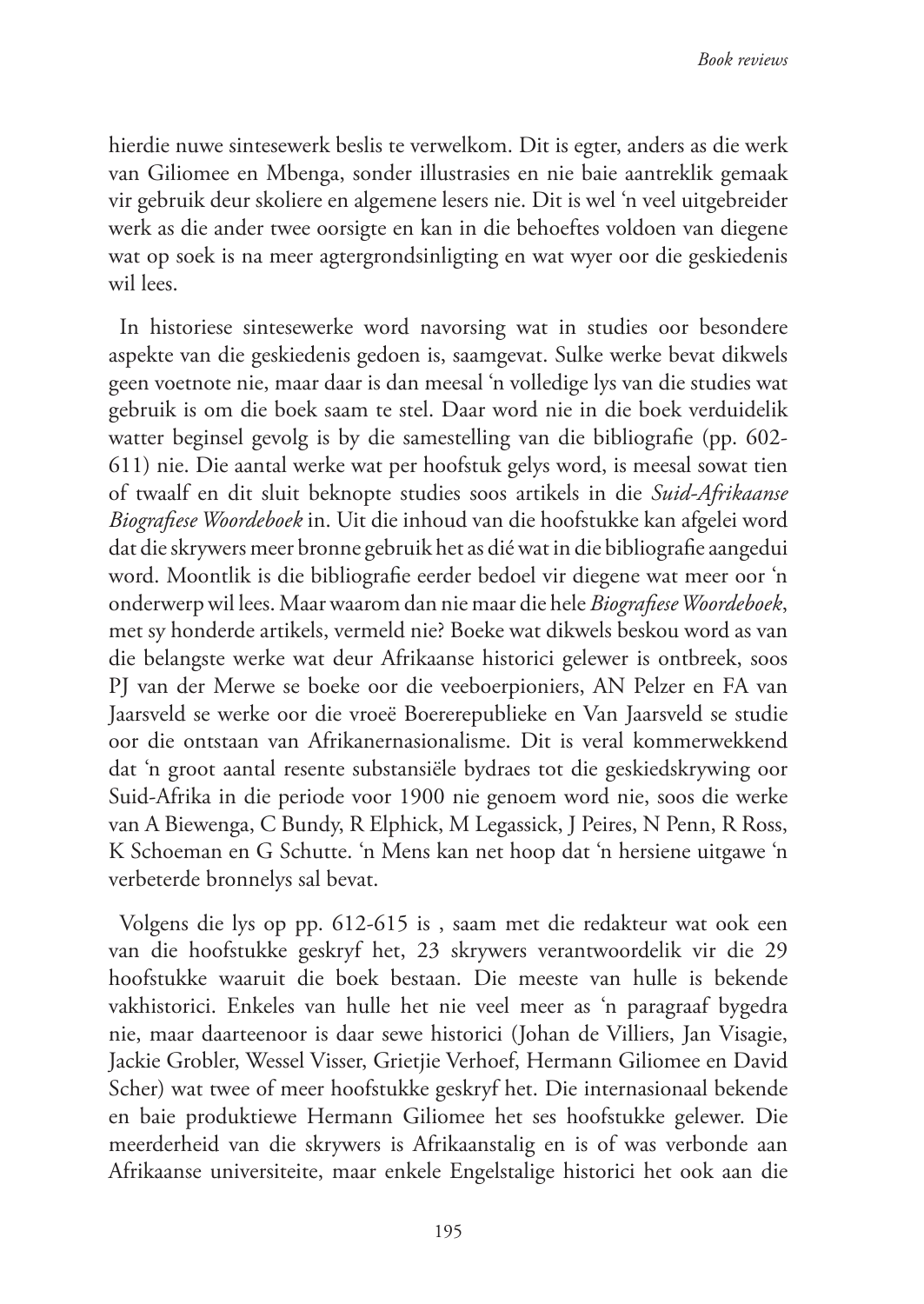hierdie nuwe sintesewerk beslis te verwelkom. Dit is egter, anders as die werk van Giliomee en Mbenga, sonder illustrasies en nie baie aantreklik gemaak vir gebruik deur skoliere en algemene lesers nie. Dit is wel 'n veel uitgebreider werk as die ander twee oorsigte en kan in die behoeftes voldoen van diegene wat op soek is na meer agtergrondsinligting en wat wyer oor die geskiedenis wil lees.

In historiese sintesewerke word navorsing wat in studies oor besondere aspekte van die geskiedenis gedoen is, saamgevat. Sulke werke bevat dikwels geen voetnote nie, maar daar is dan meesal 'n volledige lys van die studies wat gebruik is om die boek saam te stel. Daar word nie in die boek verduidelik watter beginsel gevolg is by die samestelling van die bibliografie (pp. 602- 611) nie. Die aantal werke wat per hoofstuk gelys word, is meesal sowat tien of twaalf en dit sluit beknopte studies soos artikels in die *Suid-Afrikaanse Biografiese Woordeboek* in. Uit die inhoud van die hoofstukke kan afgelei word dat die skrywers meer bronne gebruik het as dié wat in die bibliografie aangedui word. Moontlik is die bibliografie eerder bedoel vir diegene wat meer oor 'n onderwerp wil lees. Maar waarom dan nie maar die hele *Biografiese Woordeboek*, met sy honderde artikels, vermeld nie? Boeke wat dikwels beskou word as van die belangste werke wat deur Afrikaanse historici gelewer is ontbreek, soos PJ van der Merwe se boeke oor die veeboerpioniers, AN Pelzer en FA van Jaarsveld se werke oor die vroeë Boererepublieke en Van Jaarsveld se studie oor die ontstaan van Afrikanernasionalisme. Dit is veral kommerwekkend dat 'n groot aantal resente substansiële bydraes tot die geskiedskrywing oor Suid-Afrika in die periode voor 1900 nie genoem word nie, soos die werke van A Biewenga, C Bundy, R Elphick, M Legassick, J Peires, N Penn, R Ross, K Schoeman en G Schutte. 'n Mens kan net hoop dat 'n hersiene uitgawe 'n verbeterde bronnelys sal bevat.

Volgens die lys op pp. 612-615 is , saam met die redakteur wat ook een van die hoofstukke geskryf het, 23 skrywers verantwoordelik vir die 29 hoofstukke waaruit die boek bestaan. Die meeste van hulle is bekende vakhistorici. Enkeles van hulle het nie veel meer as 'n paragraaf bygedra nie, maar daarteenoor is daar sewe historici (Johan de Villiers, Jan Visagie, Jackie Grobler, Wessel Visser, Grietjie Verhoef, Hermann Giliomee en David Scher) wat twee of meer hoofstukke geskryf het. Die internasionaal bekende en baie produktiewe Hermann Giliomee het ses hoofstukke gelewer. Die meerderheid van die skrywers is Afrikaanstalig en is of was verbonde aan Afrikaanse universiteite, maar enkele Engelstalige historici het ook aan die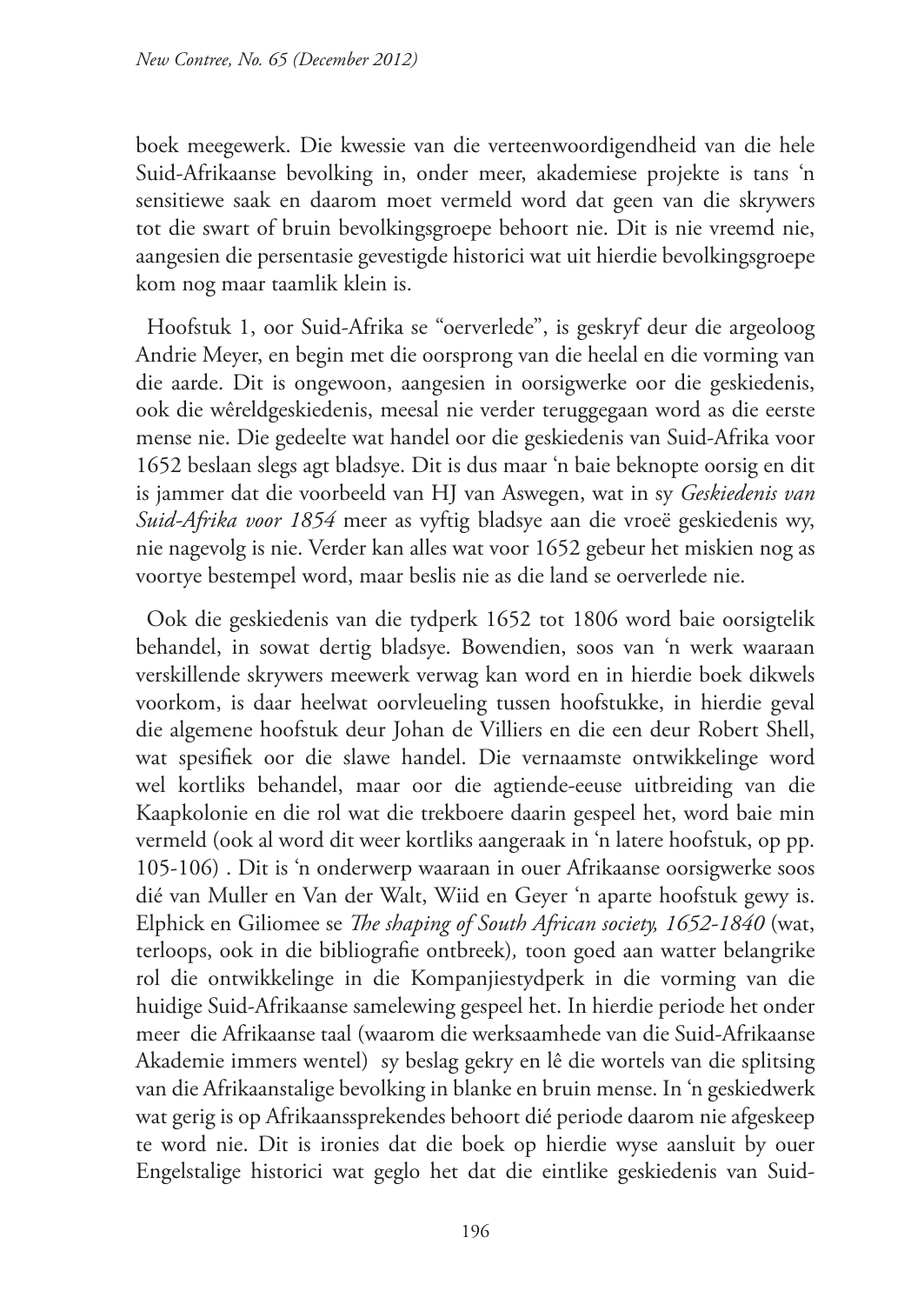boek meegewerk. Die kwessie van die verteenwoordigendheid van die hele Suid-Afrikaanse bevolking in, onder meer, akademiese projekte is tans 'n sensitiewe saak en daarom moet vermeld word dat geen van die skrywers tot die swart of bruin bevolkingsgroepe behoort nie. Dit is nie vreemd nie, aangesien die persentasie gevestigde historici wat uit hierdie bevolkingsgroepe kom nog maar taamlik klein is.

Hoofstuk 1, oor Suid-Afrika se "oerverlede", is geskryf deur die argeoloog Andrie Meyer, en begin met die oorsprong van die heelal en die vorming van die aarde. Dit is ongewoon, aangesien in oorsigwerke oor die geskiedenis, ook die wêreldgeskiedenis, meesal nie verder teruggegaan word as die eerste mense nie. Die gedeelte wat handel oor die geskiedenis van Suid-Afrika voor 1652 beslaan slegs agt bladsye. Dit is dus maar 'n baie beknopte oorsig en dit is jammer dat die voorbeeld van HJ van Aswegen, wat in sy *Geskiedenis van Suid-Afrika voor 1854* meer as vyftig bladsye aan die vroeë geskiedenis wy, nie nagevolg is nie. Verder kan alles wat voor 1652 gebeur het miskien nog as voortye bestempel word, maar beslis nie as die land se oerverlede nie.

Ook die geskiedenis van die tydperk 1652 tot 1806 word baie oorsigtelik behandel, in sowat dertig bladsye. Bowendien, soos van 'n werk waaraan verskillende skrywers meewerk verwag kan word en in hierdie boek dikwels voorkom, is daar heelwat oorvleueling tussen hoofstukke, in hierdie geval die algemene hoofstuk deur Johan de Villiers en die een deur Robert Shell, wat spesifiek oor die slawe handel. Die vernaamste ontwikkelinge word wel kortliks behandel, maar oor die agtiende-eeuse uitbreiding van die Kaapkolonie en die rol wat die trekboere daarin gespeel het, word baie min vermeld (ook al word dit weer kortliks aangeraak in 'n latere hoofstuk, op pp. 105-106) . Dit is 'n onderwerp waaraan in ouer Afrikaanse oorsigwerke soos dié van Muller en Van der Walt, Wiid en Geyer 'n aparte hoofstuk gewy is. Elphick en Giliomee se *The shaping of South African society, 1652-1840* (wat, terloops, ook in die bibliografie ontbreek)*,* toon goed aan watter belangrike rol die ontwikkelinge in die Kompanjiestydperk in die vorming van die huidige Suid-Afrikaanse samelewing gespeel het. In hierdie periode het onder meer die Afrikaanse taal (waarom die werksaamhede van die Suid-Afrikaanse Akademie immers wentel) sy beslag gekry en lê die wortels van die splitsing van die Afrikaanstalige bevolking in blanke en bruin mense. In 'n geskiedwerk wat gerig is op Afrikaanssprekendes behoort dié periode daarom nie afgeskeep te word nie. Dit is ironies dat die boek op hierdie wyse aansluit by ouer Engelstalige historici wat geglo het dat die eintlike geskiedenis van Suid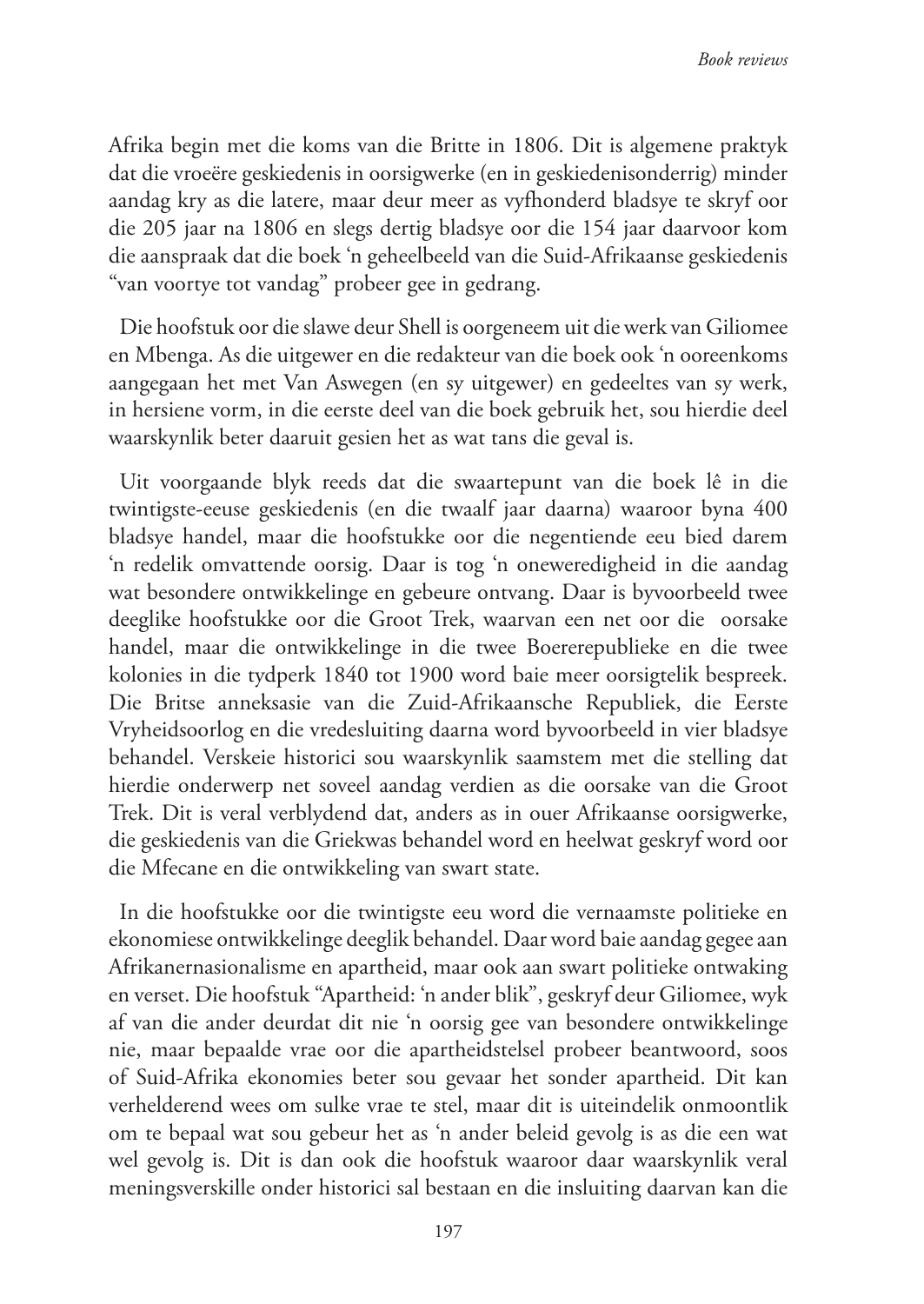Afrika begin met die koms van die Britte in 1806. Dit is algemene praktyk dat die vroeëre geskiedenis in oorsigwerke (en in geskiedenisonderrig) minder aandag kry as die latere, maar deur meer as vyfhonderd bladsye te skryf oor die 205 jaar na 1806 en slegs dertig bladsye oor die 154 jaar daarvoor kom die aanspraak dat die boek 'n geheelbeeld van die Suid-Afrikaanse geskiedenis "van voortye tot vandag" probeer gee in gedrang.

Die hoofstuk oor die slawe deur Shell is oorgeneem uit die werk van Giliomee en Mbenga. As die uitgewer en die redakteur van die boek ook 'n ooreenkoms aangegaan het met Van Aswegen (en sy uitgewer) en gedeeltes van sy werk, in hersiene vorm, in die eerste deel van die boek gebruik het, sou hierdie deel waarskynlik beter daaruit gesien het as wat tans die geval is.

Uit voorgaande blyk reeds dat die swaartepunt van die boek lê in die twintigste-eeuse geskiedenis (en die twaalf jaar daarna) waaroor byna 400 bladsye handel, maar die hoofstukke oor die negentiende eeu bied darem 'n redelik omvattende oorsig. Daar is tog 'n oneweredigheid in die aandag wat besondere ontwikkelinge en gebeure ontvang. Daar is byvoorbeeld twee deeglike hoofstukke oor die Groot Trek, waarvan een net oor die oorsake handel, maar die ontwikkelinge in die twee Boererepublieke en die twee kolonies in die tydperk 1840 tot 1900 word baie meer oorsigtelik bespreek. Die Britse anneksasie van die Zuid-Afrikaansche Republiek, die Eerste Vryheidsoorlog en die vredesluiting daarna word byvoorbeeld in vier bladsye behandel. Verskeie historici sou waarskynlik saamstem met die stelling dat hierdie onderwerp net soveel aandag verdien as die oorsake van die Groot Trek. Dit is veral verblydend dat, anders as in ouer Afrikaanse oorsigwerke, die geskiedenis van die Griekwas behandel word en heelwat geskryf word oor die Mfecane en die ontwikkeling van swart state.

In die hoofstukke oor die twintigste eeu word die vernaamste politieke en ekonomiese ontwikkelinge deeglik behandel. Daar word baie aandag gegee aan Afrikanernasionalisme en apartheid, maar ook aan swart politieke ontwaking en verset. Die hoofstuk "Apartheid: 'n ander blik", geskryf deur Giliomee, wyk af van die ander deurdat dit nie 'n oorsig gee van besondere ontwikkelinge nie, maar bepaalde vrae oor die apartheidstelsel probeer beantwoord, soos of Suid-Afrika ekonomies beter sou gevaar het sonder apartheid. Dit kan verhelderend wees om sulke vrae te stel, maar dit is uiteindelik onmoontlik om te bepaal wat sou gebeur het as 'n ander beleid gevolg is as die een wat wel gevolg is. Dit is dan ook die hoofstuk waaroor daar waarskynlik veral meningsverskille onder historici sal bestaan en die insluiting daarvan kan die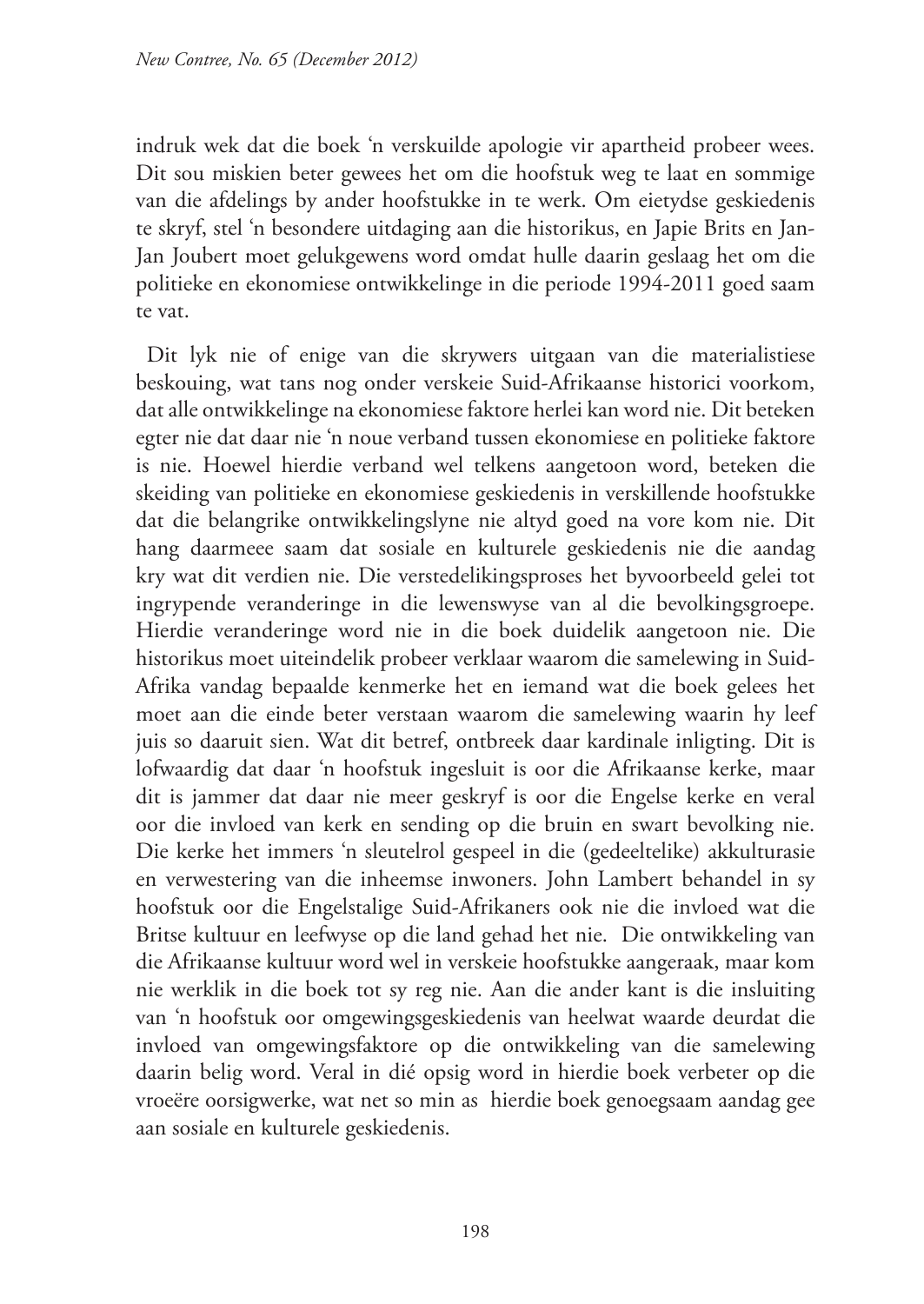indruk wek dat die boek 'n verskuilde apologie vir apartheid probeer wees. Dit sou miskien beter gewees het om die hoofstuk weg te laat en sommige van die afdelings by ander hoofstukke in te werk. Om eietydse geskiedenis te skryf, stel 'n besondere uitdaging aan die historikus, en Japie Brits en Jan-Jan Joubert moet gelukgewens word omdat hulle daarin geslaag het om die politieke en ekonomiese ontwikkelinge in die periode 1994-2011 goed saam te vat.

Dit lyk nie of enige van die skrywers uitgaan van die materialistiese beskouing, wat tans nog onder verskeie Suid-Afrikaanse historici voorkom, dat alle ontwikkelinge na ekonomiese faktore herlei kan word nie. Dit beteken egter nie dat daar nie 'n noue verband tussen ekonomiese en politieke faktore is nie. Hoewel hierdie verband wel telkens aangetoon word, beteken die skeiding van politieke en ekonomiese geskiedenis in verskillende hoofstukke dat die belangrike ontwikkelingslyne nie altyd goed na vore kom nie. Dit hang daarmeee saam dat sosiale en kulturele geskiedenis nie die aandag kry wat dit verdien nie. Die verstedelikingsproses het byvoorbeeld gelei tot ingrypende veranderinge in die lewenswyse van al die bevolkingsgroepe. Hierdie veranderinge word nie in die boek duidelik aangetoon nie. Die historikus moet uiteindelik probeer verklaar waarom die samelewing in Suid-Afrika vandag bepaalde kenmerke het en iemand wat die boek gelees het moet aan die einde beter verstaan waarom die samelewing waarin hy leef juis so daaruit sien. Wat dit betref, ontbreek daar kardinale inligting. Dit is lofwaardig dat daar 'n hoofstuk ingesluit is oor die Afrikaanse kerke, maar dit is jammer dat daar nie meer geskryf is oor die Engelse kerke en veral oor die invloed van kerk en sending op die bruin en swart bevolking nie. Die kerke het immers 'n sleutelrol gespeel in die (gedeeltelike) akkulturasie en verwestering van die inheemse inwoners. John Lambert behandel in sy hoofstuk oor die Engelstalige Suid-Afrikaners ook nie die invloed wat die Britse kultuur en leefwyse op die land gehad het nie. Die ontwikkeling van die Afrikaanse kultuur word wel in verskeie hoofstukke aangeraak, maar kom nie werklik in die boek tot sy reg nie. Aan die ander kant is die insluiting van 'n hoofstuk oor omgewingsgeskiedenis van heelwat waarde deurdat die invloed van omgewingsfaktore op die ontwikkeling van die samelewing daarin belig word. Veral in dié opsig word in hierdie boek verbeter op die vroeëre oorsigwerke, wat net so min as hierdie boek genoegsaam aandag gee aan sosiale en kulturele geskiedenis.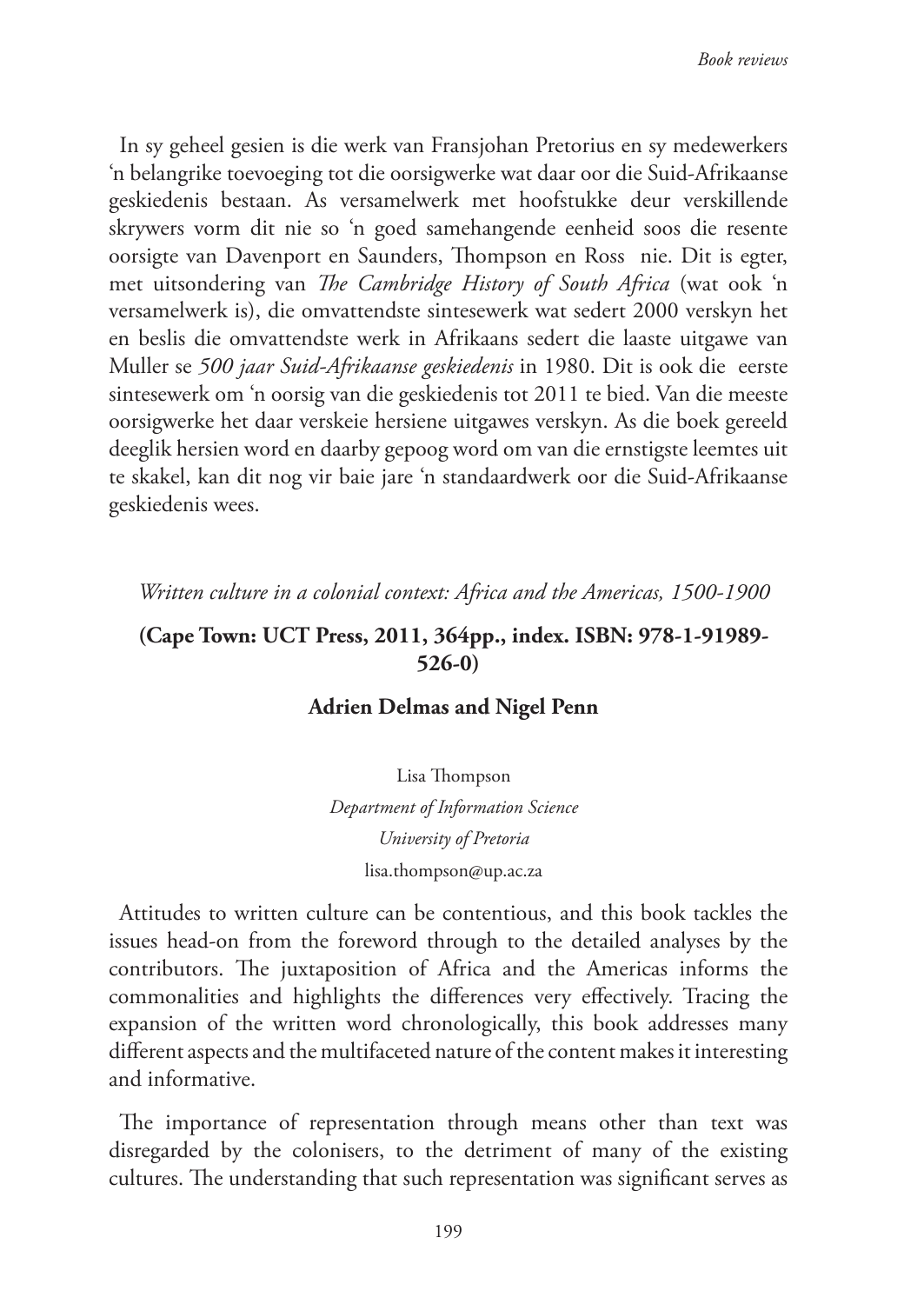In sy geheel gesien is die werk van Fransjohan Pretorius en sy medewerkers 'n belangrike toevoeging tot die oorsigwerke wat daar oor die Suid-Afrikaanse geskiedenis bestaan. As versamelwerk met hoofstukke deur verskillende skrywers vorm dit nie so 'n goed samehangende eenheid soos die resente oorsigte van Davenport en Saunders, Thompson en Ross nie. Dit is egter, met uitsondering van *The Cambridge History of South Africa* (wat ook 'n versamelwerk is), die omvattendste sintesewerk wat sedert 2000 verskyn het en beslis die omvattendste werk in Afrikaans sedert die laaste uitgawe van Muller se *500 jaar Suid-Afrikaanse geskiedenis* in 1980. Dit is ook die eerste sintesewerk om 'n oorsig van die geskiedenis tot 2011 te bied. Van die meeste oorsigwerke het daar verskeie hersiene uitgawes verskyn. As die boek gereeld deeglik hersien word en daarby gepoog word om van die ernstigste leemtes uit te skakel, kan dit nog vir baie jare 'n standaardwerk oor die Suid-Afrikaanse geskiedenis wees.

*Written culture in a colonial context: Africa and the Americas, 1500-1900*

## **(Cape Town: UCT Press, 2011, 364pp., index. ISBN: 978-1-91989- 526-0)**

### **Adrien Delmas and Nigel Penn**

Lisa Thompson *Department of Information Science University of Pretoria* lisa.thompson@up.ac.za

Attitudes to written culture can be contentious, and this book tackles the issues head-on from the foreword through to the detailed analyses by the contributors. The juxtaposition of Africa and the Americas informs the commonalities and highlights the differences very effectively. Tracing the expansion of the written word chronologically, this book addresses many different aspects and the multifaceted nature of the content makes it interesting and informative.

The importance of representation through means other than text was disregarded by the colonisers, to the detriment of many of the existing cultures. The understanding that such representation was significant serves as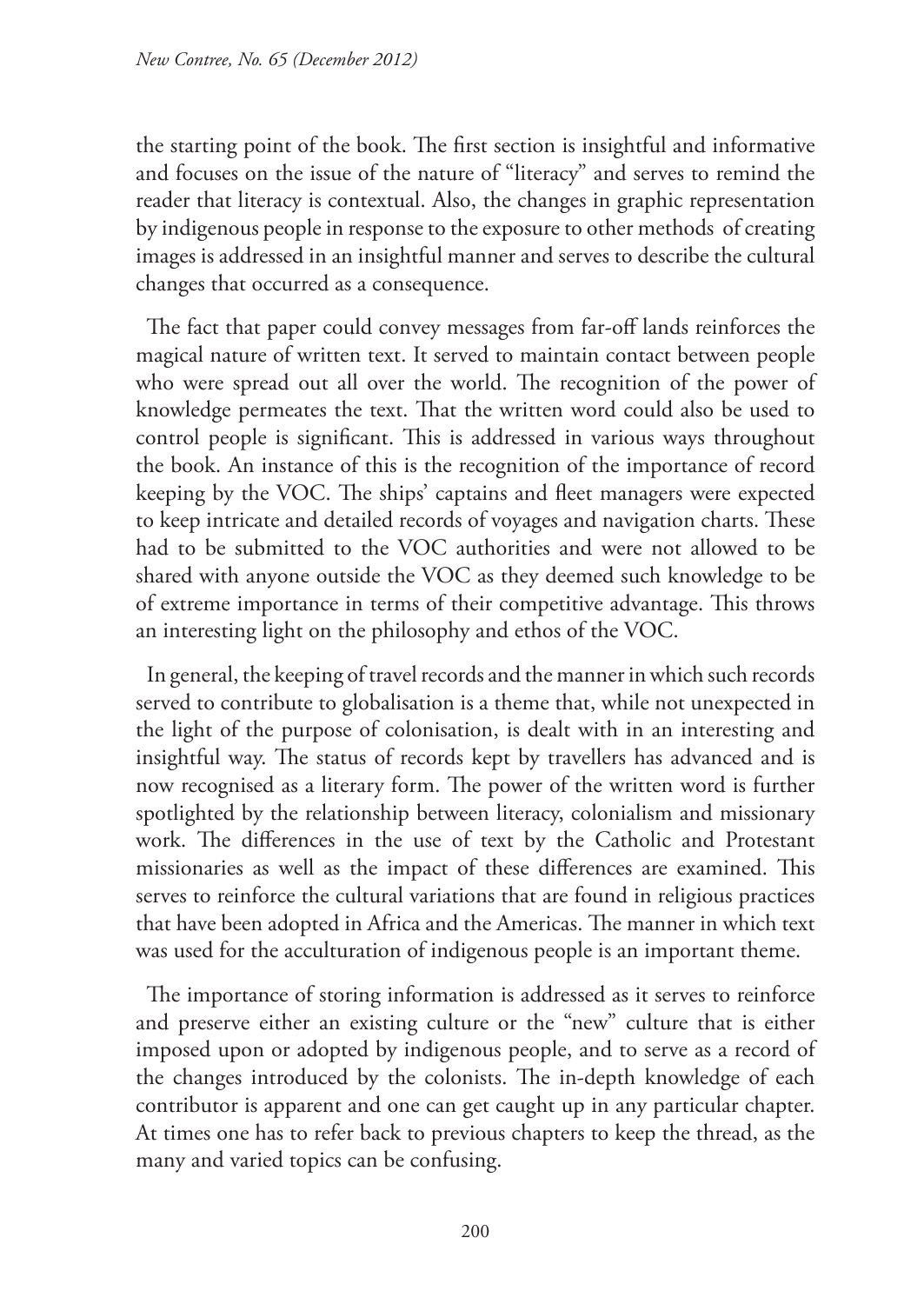the starting point of the book. The first section is insightful and informative and focuses on the issue of the nature of "literacy" and serves to remind the reader that literacy is contextual. Also, the changes in graphic representation by indigenous people in response to the exposure to other methods of creating images is addressed in an insightful manner and serves to describe the cultural changes that occurred as a consequence.

The fact that paper could convey messages from far-off lands reinforces the magical nature of written text. It served to maintain contact between people who were spread out all over the world. The recognition of the power of knowledge permeates the text. That the written word could also be used to control people is significant. This is addressed in various ways throughout the book. An instance of this is the recognition of the importance of record keeping by the VOC. The ships' captains and fleet managers were expected to keep intricate and detailed records of voyages and navigation charts. These had to be submitted to the VOC authorities and were not allowed to be shared with anyone outside the VOC as they deemed such knowledge to be of extreme importance in terms of their competitive advantage. This throws an interesting light on the philosophy and ethos of the VOC.

In general, the keeping of travel records and the manner in which such records served to contribute to globalisation is a theme that, while not unexpected in the light of the purpose of colonisation, is dealt with in an interesting and insightful way. The status of records kept by travellers has advanced and is now recognised as a literary form. The power of the written word is further spotlighted by the relationship between literacy, colonialism and missionary work. The differences in the use of text by the Catholic and Protestant missionaries as well as the impact of these differences are examined. This serves to reinforce the cultural variations that are found in religious practices that have been adopted in Africa and the Americas. The manner in which text was used for the acculturation of indigenous people is an important theme.

The importance of storing information is addressed as it serves to reinforce and preserve either an existing culture or the "new" culture that is either imposed upon or adopted by indigenous people, and to serve as a record of the changes introduced by the colonists. The in-depth knowledge of each contributor is apparent and one can get caught up in any particular chapter. At times one has to refer back to previous chapters to keep the thread, as the many and varied topics can be confusing.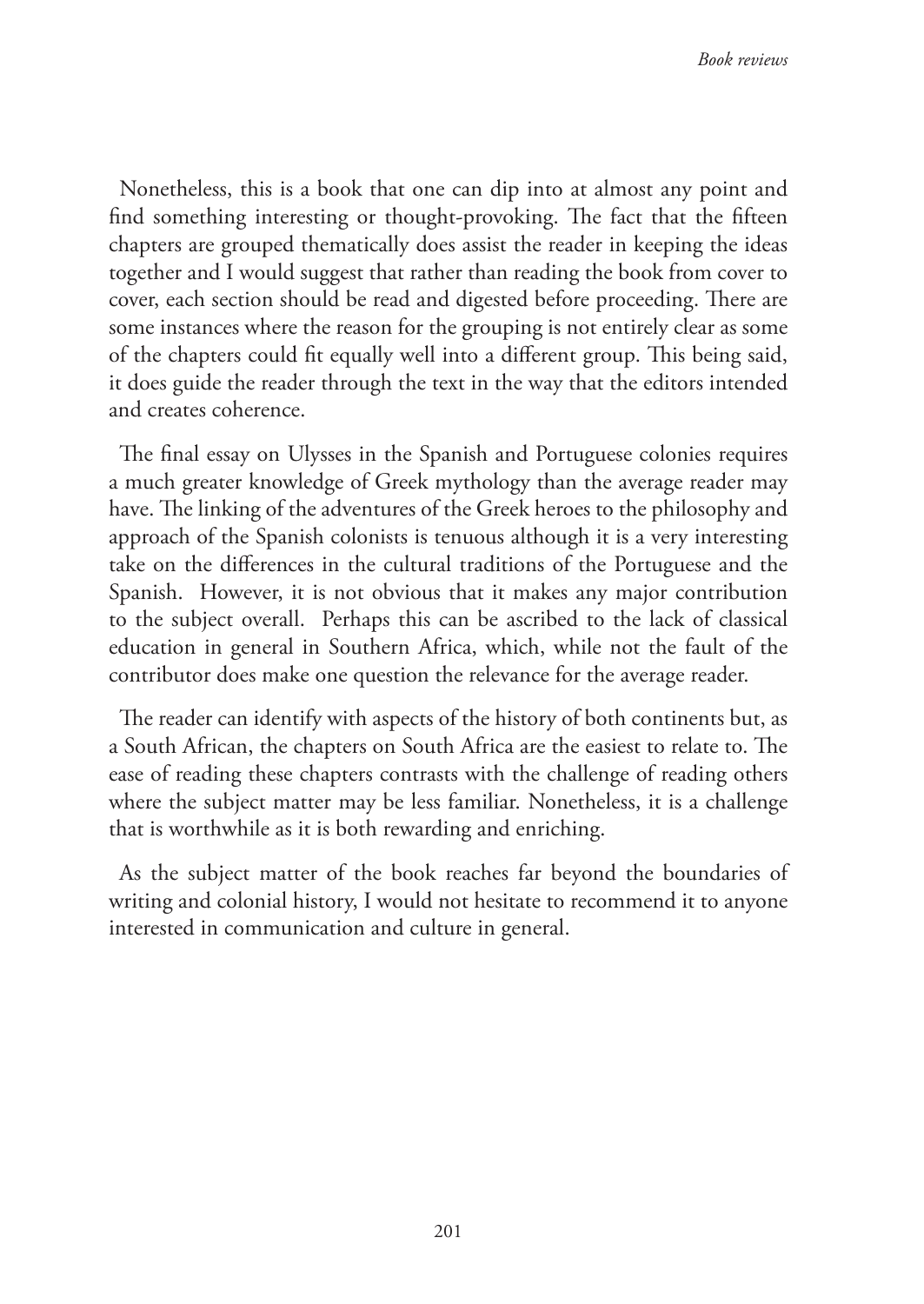Nonetheless, this is a book that one can dip into at almost any point and find something interesting or thought-provoking. The fact that the fifteen chapters are grouped thematically does assist the reader in keeping the ideas together and I would suggest that rather than reading the book from cover to cover, each section should be read and digested before proceeding. There are some instances where the reason for the grouping is not entirely clear as some of the chapters could fit equally well into a different group. This being said, it does guide the reader through the text in the way that the editors intended and creates coherence.

The final essay on Ulysses in the Spanish and Portuguese colonies requires a much greater knowledge of Greek mythology than the average reader may have. The linking of the adventures of the Greek heroes to the philosophy and approach of the Spanish colonists is tenuous although it is a very interesting take on the differences in the cultural traditions of the Portuguese and the Spanish. However, it is not obvious that it makes any major contribution to the subject overall. Perhaps this can be ascribed to the lack of classical education in general in Southern Africa, which, while not the fault of the contributor does make one question the relevance for the average reader.

The reader can identify with aspects of the history of both continents but, as a South African, the chapters on South Africa are the easiest to relate to. The ease of reading these chapters contrasts with the challenge of reading others where the subject matter may be less familiar. Nonetheless, it is a challenge that is worthwhile as it is both rewarding and enriching.

As the subject matter of the book reaches far beyond the boundaries of writing and colonial history, I would not hesitate to recommend it to anyone interested in communication and culture in general.